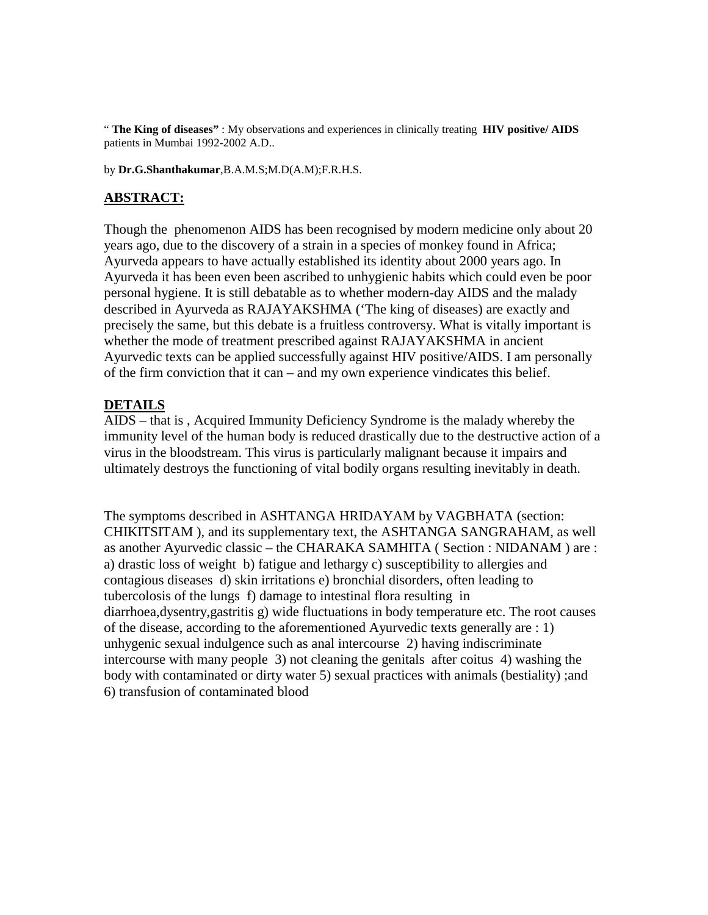" **The King of diseases"** : My observations and experiences in clinically treating **HIV positive/ AIDS** patients in Mumbai 1992-2002 A.D..

by **Dr.G.Shanthakumar**,B.A.M.S;M.D(A.M);F.R.H.S.

## **ABSTRACT:**

Though the phenomenon AIDS has been recognised by modern medicine only about 20 years ago, due to the discovery of a strain in a species of monkey found in Africa; Ayurveda appears to have actually established its identity about 2000 years ago. In Ayurveda it has been even been ascribed to unhygienic habits which could even be poor personal hygiene. It is still debatable as to whether modern-day AIDS and the malady described in Ayurveda as RAJAYAKSHMA ('The king of diseases) are exactly and precisely the same, but this debate is a fruitless controversy. What is vitally important is whether the mode of treatment prescribed against RAJAYAKSHMA in ancient Ayurvedic texts can be applied successfully against HIV positive/AIDS. I am personally of the firm conviction that it can – and my own experience vindicates this belief.

## **DETAILS**

AIDS – that is , Acquired Immunity Deficiency Syndrome is the malady whereby the immunity level of the human body is reduced drastically due to the destructive action of a virus in the bloodstream. This virus is particularly malignant because it impairs and ultimately destroys the functioning of vital bodily organs resulting inevitably in death.

The symptoms described in ASHTANGA HRIDAYAM by VAGBHATA (section: CHIKITSITAM ), and its supplementary text, the ASHTANGA SANGRAHAM, as well as another Ayurvedic classic – the CHARAKA SAMHITA ( Section : NIDANAM ) are : a) drastic loss of weight b) fatigue and lethargy c) susceptibility to allergies and contagious diseases d) skin irritations e) bronchial disorders, often leading to tubercolosis of the lungs f) damage to intestinal flora resulting in diarrhoea,dysentry,gastritis g) wide fluctuations in body temperature etc. The root causes of the disease, according to the aforementioned Ayurvedic texts generally are : 1) unhygenic sexual indulgence such as anal intercourse 2) having indiscriminate intercourse with many people 3) not cleaning the genitals after coitus 4) washing the body with contaminated or dirty water 5) sexual practices with animals (bestiality) ;and 6) transfusion of contaminated blood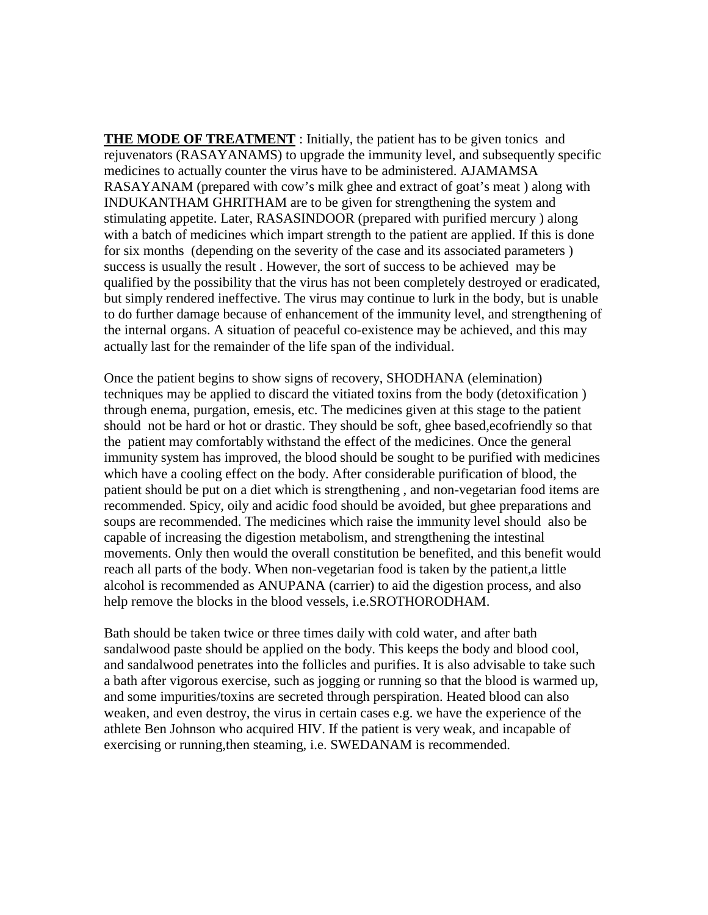**THE MODE OF TREATMENT** : Initially, the patient has to be given tonics and rejuvenators (RASAYANAMS) to upgrade the immunity level, and subsequently specific medicines to actually counter the virus have to be administered. AJAMAMSA RASAYANAM (prepared with cow's milk ghee and extract of goat's meat ) along with INDUKANTHAM GHRITHAM are to be given for strengthening the system and stimulating appetite. Later, RASASINDOOR (prepared with purified mercury ) along with a batch of medicines which impart strength to the patient are applied. If this is done for six months (depending on the severity of the case and its associated parameters ) success is usually the result . However, the sort of success to be achieved may be qualified by the possibility that the virus has not been completely destroyed or eradicated, but simply rendered ineffective. The virus may continue to lurk in the body, but is unable to do further damage because of enhancement of the immunity level, and strengthening of the internal organs. A situation of peaceful co-existence may be achieved, and this may actually last for the remainder of the life span of the individual.

Once the patient begins to show signs of recovery, SHODHANA (elemination) techniques may be applied to discard the vitiated toxins from the body (detoxification ) through enema, purgation, emesis, etc. The medicines given at this stage to the patient should not be hard or hot or drastic. They should be soft, ghee based,ecofriendly so that the patient may comfortably withstand the effect of the medicines. Once the general immunity system has improved, the blood should be sought to be purified with medicines which have a cooling effect on the body. After considerable purification of blood, the patient should be put on a diet which is strengthening , and non-vegetarian food items are recommended. Spicy, oily and acidic food should be avoided, but ghee preparations and soups are recommended. The medicines which raise the immunity level should also be capable of increasing the digestion metabolism, and strengthening the intestinal movements. Only then would the overall constitution be benefited, and this benefit would reach all parts of the body. When non-vegetarian food is taken by the patient,a little alcohol is recommended as ANUPANA (carrier) to aid the digestion process, and also help remove the blocks in the blood vessels, i.e.SROTHORODHAM.

Bath should be taken twice or three times daily with cold water, and after bath sandalwood paste should be applied on the body. This keeps the body and blood cool, and sandalwood penetrates into the follicles and purifies. It is also advisable to take such a bath after vigorous exercise, such as jogging or running so that the blood is warmed up, and some impurities/toxins are secreted through perspiration. Heated blood can also weaken, and even destroy, the virus in certain cases e.g. we have the experience of the athlete Ben Johnson who acquired HIV. If the patient is very weak, and incapable of exercising or running,then steaming, i.e. SWEDANAM is recommended.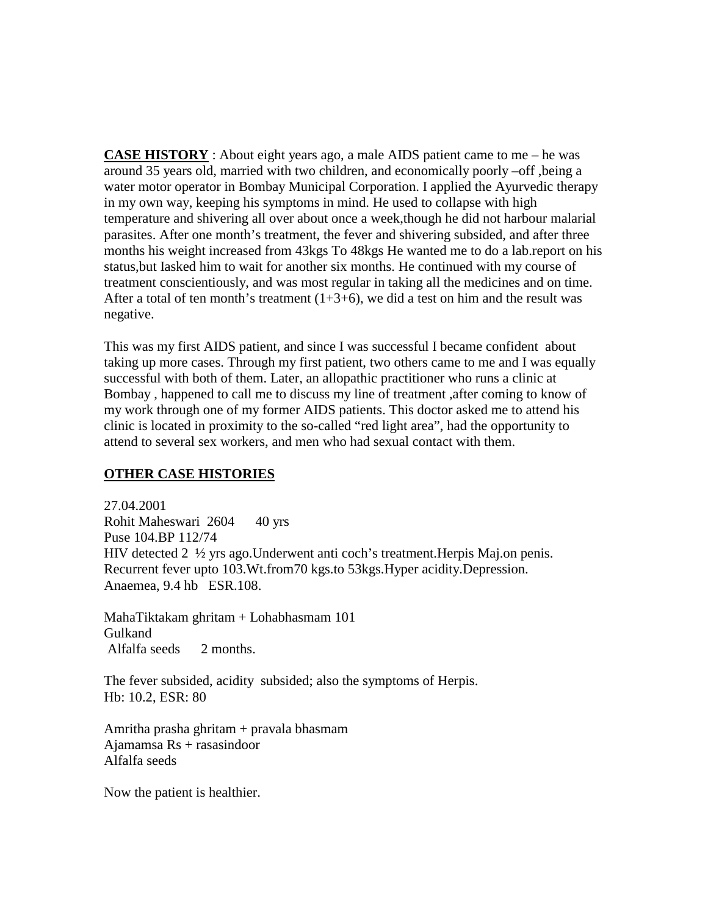**CASE HISTORY** : About eight years ago, a male AIDS patient came to me – he was around 35 years old, married with two children, and economically poorly –off ,being a water motor operator in Bombay Municipal Corporation. I applied the Ayurvedic therapy in my own way, keeping his symptoms in mind. He used to collapse with high temperature and shivering all over about once a week,though he did not harbour malarial parasites. After one month's treatment, the fever and shivering subsided, and after three months his weight increased from 43kgs To 48kgs He wanted me to do a lab.report on his status,but Iasked him to wait for another six months. He continued with my course of treatment conscientiously, and was most regular in taking all the medicines and on time. After a total of ten month's treatment  $(1+3+6)$ , we did a test on him and the result was negative.

This was my first AIDS patient, and since I was successful I became confident about taking up more cases. Through my first patient, two others came to me and I was equally successful with both of them. Later, an allopathic practitioner who runs a clinic at Bombay , happened to call me to discuss my line of treatment ,after coming to know of my work through one of my former AIDS patients. This doctor asked me to attend his clinic is located in proximity to the so-called "red light area", had the opportunity to attend to several sex workers, and men who had sexual contact with them.

## **OTHER CASE HISTORIES**

27.04.2001 Rohit Maheswari 2604 40 yrs Puse 104.BP 112/74 HIV detected 2 ½ yrs ago.Underwent anti coch's treatment.Herpis Maj.on penis. Recurrent fever upto 103.Wt.from70 kgs.to 53kgs.Hyper acidity.Depression. Anaemea, 9.4 hb ESR.108.

MahaTiktakam ghritam + Lohabhasmam 101 Gulkand Alfalfa seeds 2 months.

The fever subsided, acidity subsided; also the symptoms of Herpis. Hb: 10.2, ESR: 80

Amritha prasha ghritam + pravala bhasmam Ajamamsa Rs + rasasindoor Alfalfa seeds

Now the patient is healthier.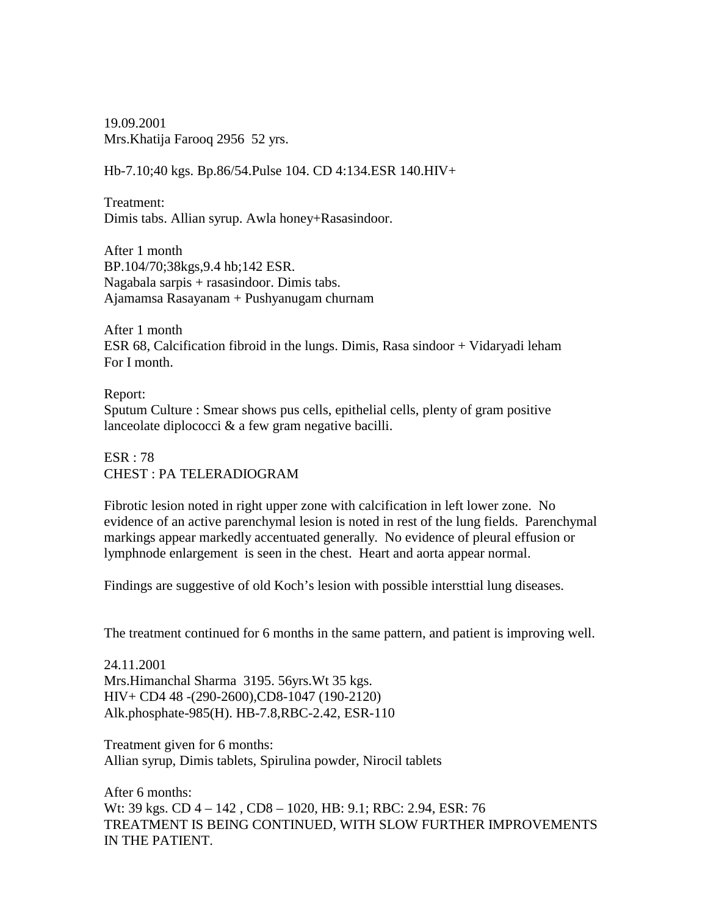19.09.2001 Mrs.Khatija Farooq 2956 52 yrs.

Hb-7.10;40 kgs. Bp.86/54.Pulse 104. CD 4:134.ESR 140.HIV+

Treatment: Dimis tabs. Allian syrup. Awla honey+Rasasindoor.

After 1 month BP.104/70;38kgs,9.4 hb;142 ESR. Nagabala sarpis + rasasindoor. Dimis tabs. Ajamamsa Rasayanam + Pushyanugam churnam

After 1 month ESR 68, Calcification fibroid in the lungs. Dimis, Rasa sindoor + Vidaryadi leham For I month.

Report: Sputum Culture : Smear shows pus cells, epithelial cells, plenty of gram positive lanceolate diplococci & a few gram negative bacilli.

ESR : 78 CHEST : PA TELERADIOGRAM

Fibrotic lesion noted in right upper zone with calcification in left lower zone. No evidence of an active parenchymal lesion is noted in rest of the lung fields. Parenchymal markings appear markedly accentuated generally. No evidence of pleural effusion or lymphnode enlargement is seen in the chest. Heart and aorta appear normal.

Findings are suggestive of old Koch's lesion with possible intersttial lung diseases.

The treatment continued for 6 months in the same pattern, and patient is improving well.

24.11.2001 Mrs.Himanchal Sharma 3195. 56yrs.Wt 35 kgs. HIV+ CD4 48 -(290-2600),CD8-1047 (190-2120) Alk.phosphate-985(H). HB-7.8,RBC-2.42, ESR-110

Treatment given for 6 months: Allian syrup, Dimis tablets, Spirulina powder, Nirocil tablets

After 6 months: Wt: 39 kgs. CD 4 – 142 , CD8 – 1020, HB: 9.1; RBC: 2.94, ESR: 76 TREATMENT IS BEING CONTINUED, WITH SLOW FURTHER IMPROVEMENTS IN THE PATIENT.